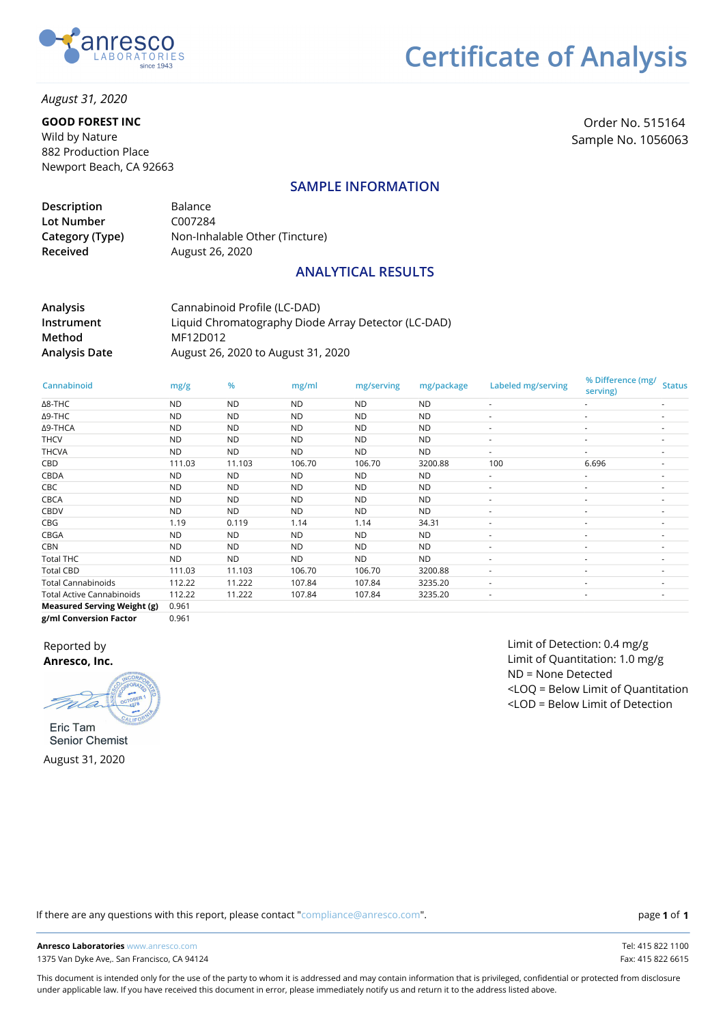

*August 31, 2020*

#### **GOOD FOREST INC**

Wild by Nature 882 Production Place Newport Beach, CA 92663

Order No. 515164 Sample No. 1056063

#### **SAMPLE INFORMATION**

| Description     | Balance                        |
|-----------------|--------------------------------|
| Lot Number      | C007284                        |
| Category (Type) | Non-Inhalable Other (Tincture) |
| Received        | August 26, 2020                |

#### **ANALYTICAL RESULTS**

**Analysis Instrument Method Analysis Date** Cannabinoid Profile (LC-DAD) Liquid Chromatography Diode Array Detector (LC-DAD) MF12D012 August 26, 2020 to August 31, 2020

| Cannabinoid                        | mg/g      | %         | mg/ml     | mg/serving | mg/package | Labeled mg/serving | % Difference (mg/<br>serving) | <b>Status</b>            |
|------------------------------------|-----------|-----------|-----------|------------|------------|--------------------|-------------------------------|--------------------------|
| $\Delta$ 8-THC                     | <b>ND</b> | <b>ND</b> | <b>ND</b> | <b>ND</b>  | <b>ND</b>  |                    |                               |                          |
| Δ9-THC                             | <b>ND</b> | <b>ND</b> | <b>ND</b> | <b>ND</b>  | <b>ND</b>  |                    |                               |                          |
| Δ9-THCA                            | <b>ND</b> | <b>ND</b> | <b>ND</b> | <b>ND</b>  | <b>ND</b>  |                    |                               |                          |
| <b>THCV</b>                        | <b>ND</b> | <b>ND</b> | <b>ND</b> | <b>ND</b>  | <b>ND</b>  |                    |                               |                          |
| <b>THCVA</b>                       | <b>ND</b> | <b>ND</b> | ND.       | <b>ND</b>  | <b>ND</b>  |                    |                               | $\overline{\phantom{a}}$ |
| CBD                                | 111.03    | 11.103    | 106.70    | 106.70     | 3200.88    | 100                | 6.696                         |                          |
| CBDA                               | <b>ND</b> | <b>ND</b> | <b>ND</b> | ND.        | <b>ND</b>  | ٠                  | ٠                             | ٠                        |
| CBC                                | ND.       | <b>ND</b> | ND.       | <b>ND</b>  | <b>ND</b>  |                    |                               |                          |
| CBCA                               | <b>ND</b> | <b>ND</b> | <b>ND</b> | <b>ND</b>  | <b>ND</b>  |                    |                               |                          |
| <b>CBDV</b>                        | ND.       | <b>ND</b> | ND.       | <b>ND</b>  | <b>ND</b>  |                    |                               |                          |
| CBG                                | 1.19      | 0.119     | 1.14      | 1.14       | 34.31      |                    |                               |                          |
| CBGA                               | <b>ND</b> | <b>ND</b> | <b>ND</b> | <b>ND</b>  | <b>ND</b>  |                    |                               | $\overline{\phantom{a}}$ |
| <b>CBN</b>                         | ND.       | <b>ND</b> | ND.       | <b>ND</b>  | <b>ND</b>  |                    |                               |                          |
| <b>Total THC</b>                   | ND.       | <b>ND</b> | ND.       | <b>ND</b>  | <b>ND</b>  | ٠                  |                               | ٠                        |
| <b>Total CBD</b>                   | 111.03    | 11.103    | 106.70    | 106.70     | 3200.88    |                    |                               |                          |
| <b>Total Cannabinoids</b>          | 112.22    | 11.222    | 107.84    | 107.84     | 3235.20    | ٠                  |                               | ٠                        |
| <b>Total Active Cannabinoids</b>   | 112.22    | 11.222    | 107.84    | 107.84     | 3235.20    | ٠                  | ٠                             |                          |
| <b>Measured Serving Weight (g)</b> | 0.961     |           |           |            |            |                    |                               |                          |
| g/ml Conversion Factor             | 0.961     |           |           |            |            |                    |                               |                          |

Reported by **Anresco, Inc.**

Eric Tam **Senior Chemist** August 31, 2020

Limit of Detection: 0.4 mg/g Limit of Quantitation: 1.0 mg/g ND = None Detected <LOQ = Below Limit of Quantitation <LOD = Below Limit of Detection

If there are any questions with this report, please contact "compliance@anresco.com".

**Anresco Laboratories** www.anresco.com Tel: 415 822 1100 1375 Van Dyke Ave,. San Francisco, CA 94124 Fax: 415 822 6615

**1 1**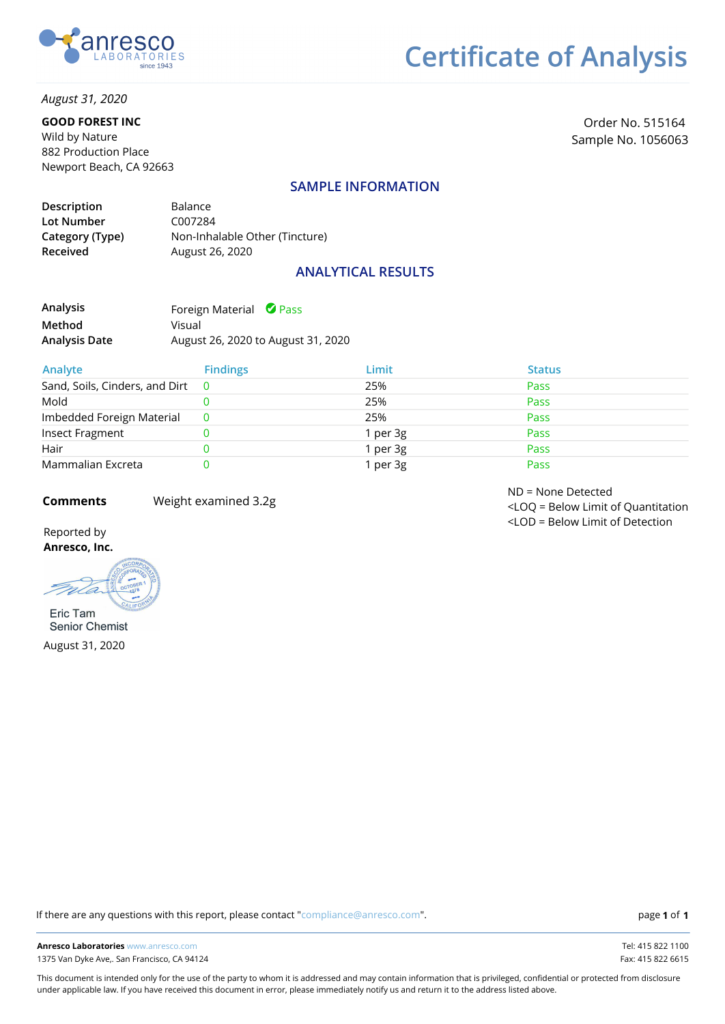

*August 31, 2020*

#### **GOOD FOREST INC**

Wild by Nature 882 Production Place Newport Beach, CA 92663

Order No. 515164 Sample No. 1056063

#### **SAMPLE INFORMATION**

| Description     | Balance                        |
|-----------------|--------------------------------|
| Lot Number      | C007284                        |
| Category (Type) | Non-Inhalable Other (Tincture) |
| Received        | August 26, 2020                |
|                 |                                |

### **ANALYTICAL RESULTS**

| Analysis      | Foreign Material <b>O</b> Pass     |
|---------------|------------------------------------|
| Method        | Visual                             |
| Analysis Date | August 26, 2020 to August 31, 2020 |

| Analyte                          | <b>Findings</b> | Limit    | <b>Status</b> |
|----------------------------------|-----------------|----------|---------------|
| Sand, Soils, Cinders, and Dirt 0 |                 | 25%      | Pass          |
| Mold                             |                 | 25%      | Pass          |
| Imbedded Foreign Material        |                 | 25%      | Pass          |
| Insect Fragment                  |                 | 1 per 3g | Pass          |
| Hair                             |                 | 1 per 3g | Pass          |
| Mammalian Excreta                |                 | I per 3g | Pass          |

**Comments** Weight examined 3.2g

ND = None Detected <LOQ = Below Limit of Quantitation <LOD = Below Limit of Detection

Reported by **Anresco, Inc.**

m Eric Tam

**Senior Chemist** August 31, 2020

If there are any questions with this report, please contact "compliance@anresco.com".

**1 1**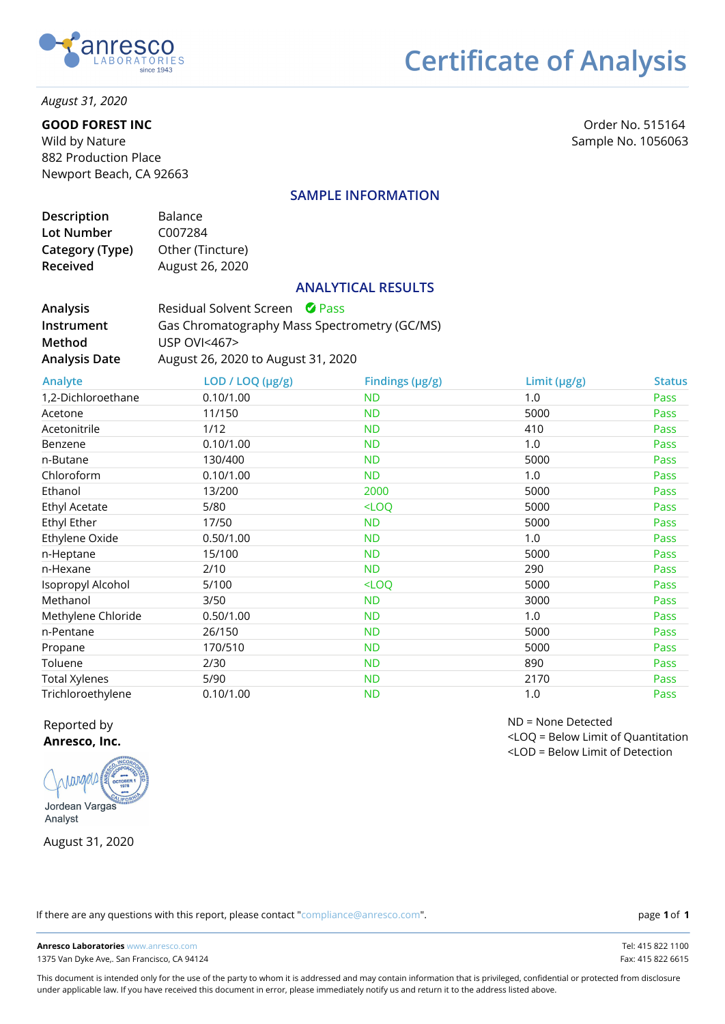

### *August 31, 2020*

#### **GOOD FOREST INC**

Wild by Nature 882 Production Place Newport Beach, CA 92663

Order No. 515164 Sample No. 1056063

### **SAMPLE INFORMATION**

| Description     | Balance          |
|-----------------|------------------|
| Lot Number      | C007284          |
| Category (Type) | Other (Tincture) |
| Received        | August 26, 2020  |
|                 |                  |

#### **ANALYTICAL RESULTS**

| <b>Analysis</b>      | Residual Solvent Screen <b>C</b> Pass        |
|----------------------|----------------------------------------------|
| <b>Instrument</b>    | Gas Chromatography Mass Spectrometry (GC/MS) |
| Method               | USP $OVI < 467$                              |
| <b>Analysis Date</b> | August 26, 2020 to August 31, 2020           |

| Analyte              | LOD / LOQ (µg/g) | Findings (µg/g) | Limit (µg/g) | <b>Status</b> |
|----------------------|------------------|-----------------|--------------|---------------|
| 1,2-Dichloroethane   | 0.10/1.00        | <b>ND</b>       | 1.0          | Pass          |
| Acetone              | 11/150           | <b>ND</b>       | 5000         | Pass          |
| Acetonitrile         | 1/12             | <b>ND</b>       | 410          | Pass          |
| Benzene              | 0.10/1.00        | <b>ND</b>       | 1.0          | Pass          |
| n-Butane             | 130/400          | <b>ND</b>       | 5000         | Pass          |
| Chloroform           | 0.10/1.00        | <b>ND</b>       | 1.0          | Pass          |
| Ethanol              | 13/200           | 2000            | 5000         | Pass          |
| <b>Ethyl Acetate</b> | 5/80             | $<$ LOQ         | 5000         | Pass          |
| Ethyl Ether          | 17/50            | <b>ND</b>       | 5000         | Pass          |
| Ethylene Oxide       | 0.50/1.00        | <b>ND</b>       | 1.0          | Pass          |
| n-Heptane            | 15/100           | <b>ND</b>       | 5000         | Pass          |
| n-Hexane             | 2/10             | <b>ND</b>       | 290          | Pass          |
| Isopropyl Alcohol    | 5/100            | $<$ LOQ         | 5000         | Pass          |
| Methanol             | 3/50             | <b>ND</b>       | 3000         | Pass          |
| Methylene Chloride   | 0.50/1.00        | <b>ND</b>       | 1.0          | Pass          |
| n-Pentane            | 26/150           | <b>ND</b>       | 5000         | Pass          |
| Propane              | 170/510          | <b>ND</b>       | 5000         | Pass          |
| Toluene              | 2/30             | <b>ND</b>       | 890          | Pass          |
| <b>Total Xylenes</b> | 5/90             | <b>ND</b>       | 2170         | Pass          |
| Trichloroethylene    | 0.10/1.00        | <b>ND</b>       | 1.0          | Pass          |

#### Reported by **Anresco, Inc.**

Innanch Jordean Vargas

Analyst

August 31, 2020

If there are any questions with this report, please contact "compliance@anresco.com".

**1 1**

**Anresco Laboratories** www.anresco.com Tel: 415 822 1100 1375 Van Dyke Ave,. San Francisco, CA 94124 Fax: 415 822 6615

This document is intended only for the use of the party to whom it is addressed and may contain information that is privileged, confidential or protected from disclosure under applicable law. If you have received this document in error, please immediately notify us and return it to the address listed above.

ND = None Detected <LOQ = Below Limit of Quantitation <LOD = Below Limit of Detection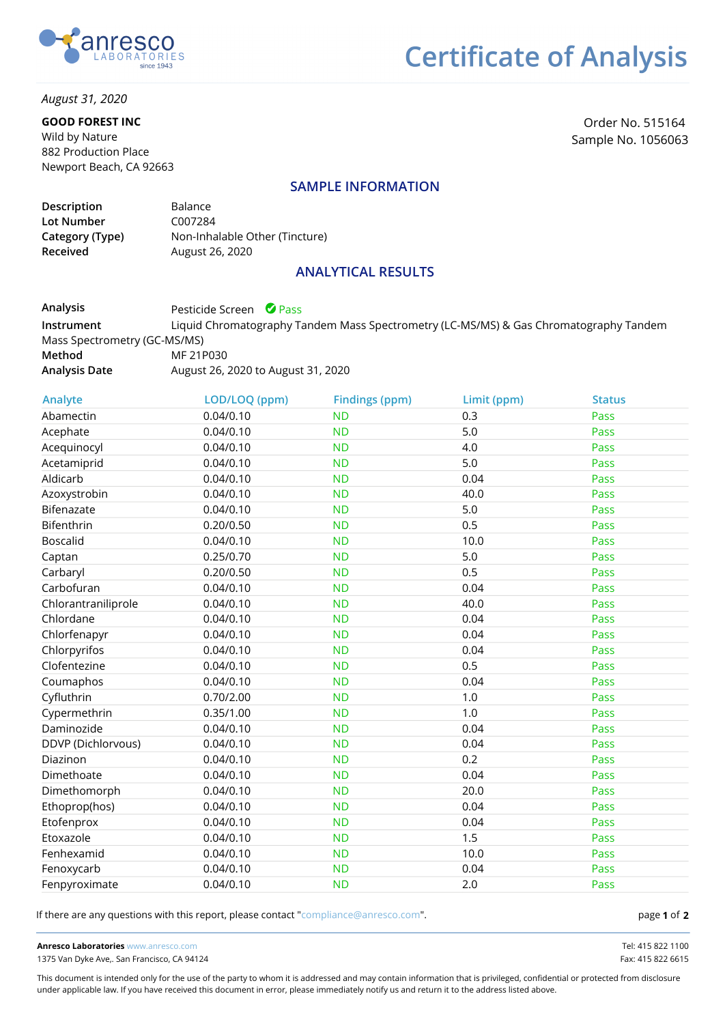

*August 31, 2020*

#### **GOOD FOREST INC**

Wild by Nature 882 Production Place Newport Beach, CA 92663

Order No. 515164 Sample No. 1056063

#### **SAMPLE INFORMATION**

| Description     | <b>Balance</b>                 |
|-----------------|--------------------------------|
| Lot Number      | C007284                        |
| Category (Type) | Non-Inhalable Other (Tincture) |
| <b>Received</b> | August 26, 2020                |

#### **ANALYTICAL RESULTS**

**Analysis Instrument Method Analysis Date** Pesticide Screen **O** Pass Liquid Chromatography Tandem Mass Spectrometry (LC-MS/MS) & Gas Chromatography Tandem Mass Spectrometry (GC-MS/MS) MF 21P030 August 26, 2020 to August 31, 2020

| Analyte             | LOD/LOQ (ppm) | <b>Findings (ppm)</b> | Limit (ppm) | <b>Status</b> |
|---------------------|---------------|-----------------------|-------------|---------------|
| Abamectin           | 0.04/0.10     | <b>ND</b>             | 0.3         | Pass          |
| Acephate            | 0.04/0.10     | <b>ND</b>             | 5.0         | Pass          |
| Acequinocyl         | 0.04/0.10     | <b>ND</b>             | 4.0         | Pass          |
| Acetamiprid         | 0.04/0.10     | <b>ND</b>             | 5.0         | Pass          |
| Aldicarb            | 0.04/0.10     | <b>ND</b>             | 0.04        | Pass          |
| Azoxystrobin        | 0.04/0.10     | <b>ND</b>             | 40.0        | Pass          |
| Bifenazate          | 0.04/0.10     | <b>ND</b>             | 5.0         | Pass          |
| Bifenthrin          | 0.20/0.50     | <b>ND</b>             | 0.5         | Pass          |
| <b>Boscalid</b>     | 0.04/0.10     | <b>ND</b>             | 10.0        | Pass          |
| Captan              | 0.25/0.70     | <b>ND</b>             | 5.0         | Pass          |
| Carbaryl            | 0.20/0.50     | <b>ND</b>             | 0.5         | Pass          |
| Carbofuran          | 0.04/0.10     | <b>ND</b>             | 0.04        | Pass          |
| Chlorantraniliprole | 0.04/0.10     | <b>ND</b>             | 40.0        | Pass          |
| Chlordane           | 0.04/0.10     | <b>ND</b>             | 0.04        | Pass          |
| Chlorfenapyr        | 0.04/0.10     | <b>ND</b>             | 0.04        | Pass          |
| Chlorpyrifos        | 0.04/0.10     | <b>ND</b>             | 0.04        | Pass          |
| Clofentezine        | 0.04/0.10     | <b>ND</b>             | 0.5         | Pass          |
| Coumaphos           | 0.04/0.10     | <b>ND</b>             | 0.04        | Pass          |
| Cyfluthrin          | 0.70/2.00     | <b>ND</b>             | 1.0         | Pass          |
| Cypermethrin        | 0.35/1.00     | <b>ND</b>             | 1.0         | Pass          |
| Daminozide          | 0.04/0.10     | <b>ND</b>             | 0.04        | Pass          |
| DDVP (Dichlorvous)  | 0.04/0.10     | <b>ND</b>             | 0.04        | Pass          |
| Diazinon            | 0.04/0.10     | <b>ND</b>             | 0.2         | Pass          |
| Dimethoate          | 0.04/0.10     | <b>ND</b>             | 0.04        | Pass          |
| Dimethomorph        | 0.04/0.10     | <b>ND</b>             | 20.0        | Pass          |
| Ethoprop(hos)       | 0.04/0.10     | <b>ND</b>             | 0.04        | Pass          |
| Etofenprox          | 0.04/0.10     | <b>ND</b>             | 0.04        | Pass          |
| Etoxazole           | 0.04/0.10     | <b>ND</b>             | 1.5         | Pass          |
| Fenhexamid          | 0.04/0.10     | <b>ND</b>             | 10.0        | Pass          |
| Fenoxycarb          | 0.04/0.10     | <b>ND</b>             | 0.04        | Pass          |
| Fenpyroximate       | 0.04/0.10     | <b>ND</b>             | 2.0         | Pass          |

If there are any questions with this report, please contact "compliance@anresco.com".

**1 2**

**Anresco Laboratories** www.anresco.com Tel: 415 822 1100 1375 Van Dyke Ave,. San Francisco, CA 94124 Fax: 415 822 6615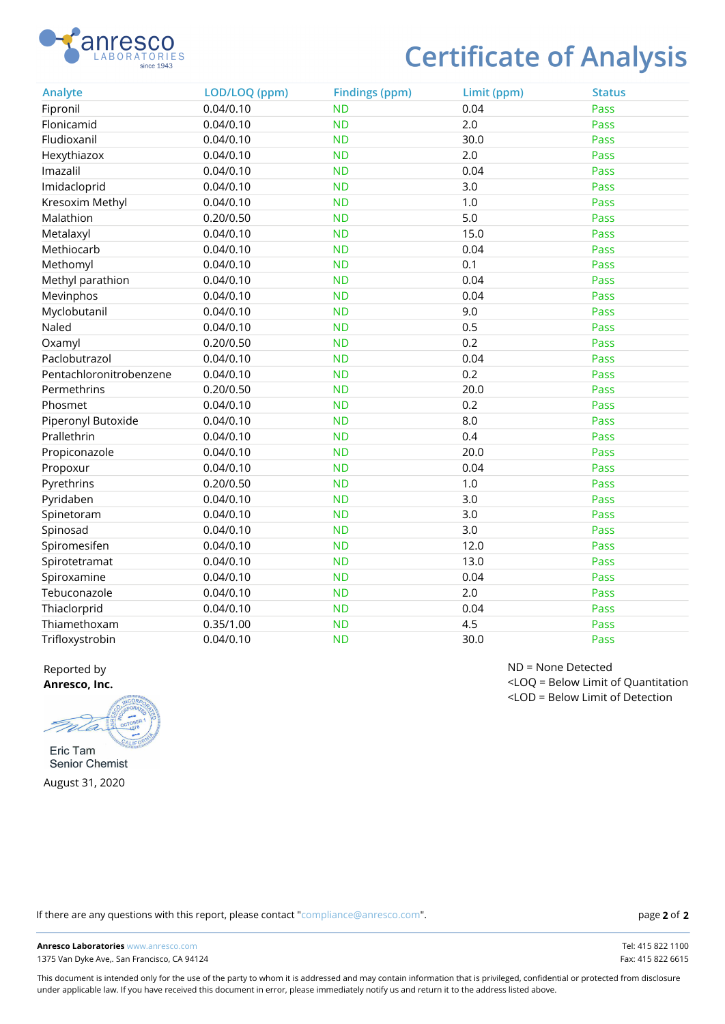

| Analyte                 | LOD/LOQ (ppm) | <b>Findings (ppm)</b> | Limit (ppm) | <b>Status</b> |
|-------------------------|---------------|-----------------------|-------------|---------------|
| Fipronil                | 0.04/0.10     | <b>ND</b>             | 0.04        | Pass          |
| Flonicamid              | 0.04/0.10     | <b>ND</b>             | 2.0         | Pass          |
| Fludioxanil             | 0.04/0.10     | <b>ND</b>             | 30.0        | Pass          |
| Hexythiazox             | 0.04/0.10     | <b>ND</b>             | 2.0         | Pass          |
| Imazalil                | 0.04/0.10     | <b>ND</b>             | 0.04        | Pass          |
| Imidacloprid            | 0.04/0.10     | <b>ND</b>             | 3.0         | Pass          |
| Kresoxim Methyl         | 0.04/0.10     | <b>ND</b>             | 1.0         | Pass          |
| Malathion               | 0.20/0.50     | <b>ND</b>             | 5.0         | Pass          |
| Metalaxyl               | 0.04/0.10     | <b>ND</b>             | 15.0        | Pass          |
| Methiocarb              | 0.04/0.10     | <b>ND</b>             | 0.04        | Pass          |
| Methomyl                | 0.04/0.10     | <b>ND</b>             | 0.1         | Pass          |
| Methyl parathion        | 0.04/0.10     | <b>ND</b>             | 0.04        | Pass          |
| Mevinphos               | 0.04/0.10     | <b>ND</b>             | 0.04        | Pass          |
| Myclobutanil            | 0.04/0.10     | <b>ND</b>             | 9.0         | Pass          |
| Naled                   | 0.04/0.10     | <b>ND</b>             | 0.5         | Pass          |
| Oxamyl                  | 0.20/0.50     | <b>ND</b>             | 0.2         | Pass          |
| Paclobutrazol           | 0.04/0.10     | <b>ND</b>             | 0.04        | Pass          |
| Pentachloronitrobenzene | 0.04/0.10     | <b>ND</b>             | 0.2         | Pass          |
| Permethrins             | 0.20/0.50     | <b>ND</b>             | 20.0        | Pass          |
| Phosmet                 | 0.04/0.10     | <b>ND</b>             | 0.2         | Pass          |
| Piperonyl Butoxide      | 0.04/0.10     | <b>ND</b>             | 8.0         | Pass          |
| Prallethrin             | 0.04/0.10     | <b>ND</b>             | 0.4         | Pass          |
| Propiconazole           | 0.04/0.10     | <b>ND</b>             | 20.0        | Pass          |
| Propoxur                | 0.04/0.10     | <b>ND</b>             | 0.04        | Pass          |
| Pyrethrins              | 0.20/0.50     | <b>ND</b>             | 1.0         | Pass          |
| Pyridaben               | 0.04/0.10     | <b>ND</b>             | 3.0         | Pass          |
| Spinetoram              | 0.04/0.10     | <b>ND</b>             | 3.0         | Pass          |
| Spinosad                | 0.04/0.10     | <b>ND</b>             | 3.0         | Pass          |
| Spiromesifen            | 0.04/0.10     | <b>ND</b>             | 12.0        | Pass          |
| Spirotetramat           | 0.04/0.10     | <b>ND</b>             | 13.0        | Pass          |
| Spiroxamine             | 0.04/0.10     | <b>ND</b>             | 0.04        | Pass          |
| Tebuconazole            | 0.04/0.10     | <b>ND</b>             | 2.0         | Pass          |
| Thiaclorprid            | 0.04/0.10     | <b>ND</b>             | 0.04        | Pass          |
| Thiamethoxam            | 0.35/1.00     | <b>ND</b>             | 4.5         | Pass          |
| Trifloxystrobin         | 0.04/0.10     | <b>ND</b>             | 30.0        | Pass          |

Reported by **Anresco, Inc.**

m Eric Tam

Senior Chemist August 31, 2020

ND = None Detected <LOQ = Below Limit of Quantitation <LOD = Below Limit of Detection

If there are any questions with this report, please contact "compliance@anresco.com".

**Anresco Laboratories** www.anresco.com Tel: 415 822 1100 1375 Van Dyke Ave,. San Francisco, CA 94124 Fax: 415 822 6615

This document is intended only for the use of the party to whom it is addressed and may contain information that is privileged, confidential or protected from disclosure under applicable law. If you have received this document in error, please immediately notify us and return it to the address listed above.

**2 2**